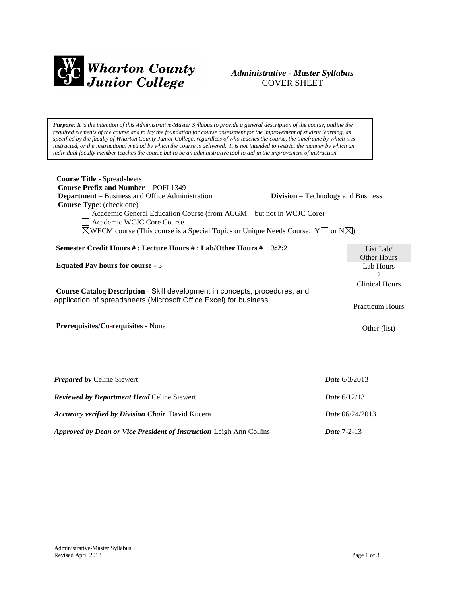

# *Administrative - Master Syllabus*  COVER SHEET

*Purpose: It is the intention of this Administrative-Master Syllabus to provide a general description of the course, outline the required elements of the course and to lay the foundation for course assessment for the improvement of student learning, as specified by the faculty of Wharton County Junior College, regardless of who teaches the course, the timeframe by which it is instructed, or the instructional method by which the course is delivered. It is not intended to restrict the manner by which an individual faculty member teaches the course but to be an administrative tool to aid in the improvement of instruction.*

| <b>Course Title - Spreadsheets</b>                                                                                                                |                                            |
|---------------------------------------------------------------------------------------------------------------------------------------------------|--------------------------------------------|
| <b>Course Prefix and Number – POFI 1349</b>                                                                                                       |                                            |
| <b>Department</b> – Business and Office Administration<br>Course Type: (check one)                                                                | <b>Division</b> – Technology and Business  |
| Academic General Education Course (from ACGM – but not in WCJC Core)<br>Academic WCJC Core Course                                                 |                                            |
| $\boxtimes$ WECM course (This course is a Special Topics or Unique Needs Course: Y $\Box$ or N $\boxtimes$ )                                      |                                            |
| Semester Credit Hours #: Lecture Hours #: Lab/Other Hours # 3:2:2                                                                                 | List Lab/                                  |
| Equated Pay hours for course - $3$                                                                                                                | Other Hours<br>Lab Hours<br>$\mathfrak{D}$ |
| Course Catalog Description - Skill development in concepts, procedures, and<br>application of spreadsheets (Microsoft Office Excel) for business. | <b>Clinical Hours</b>                      |
|                                                                                                                                                   | <b>Practicum Hours</b>                     |
| Prerequisites/Co-requisites - None                                                                                                                | Other (list)                               |
|                                                                                                                                                   |                                            |
| <b>Prepared by Celine Siewert</b>                                                                                                                 | <b>Date</b> $6/3/2013$                     |

| <b>Reviewed by Department Head Celine Siewert</b>                          | <b>Date</b> $6/12/13$    |
|----------------------------------------------------------------------------|--------------------------|
| <b>Accuracy verified by Division Chair</b> David Kucera                    | <b>Date</b> $06/24/2013$ |
| <b>Approved by Dean or Vice President of Instruction Leigh Ann Collins</b> | <b>Date 7-2-13</b>       |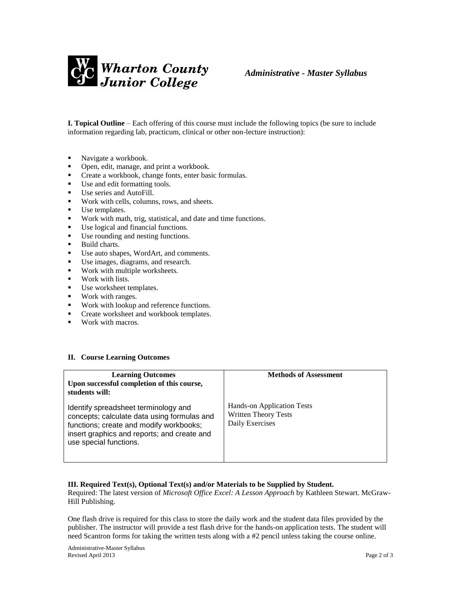

**I. Topical Outline** – Each offering of this course must include the following topics (be sure to include information regarding lab, practicum, clinical or other non-lecture instruction):

- Navigate a workbook.
- Open, edit, manage, and print a workbook.
- **Create a workbook, change fonts, enter basic formulas.**
- Use and edit formatting tools.
- Use series and AutoFill.
- Work with cells, columns, rows, and sheets.
- Use templates.
- Work with math, trig, statistical, and date and time functions.
- Use logical and financial functions.<br>■ Use rounding and nesting functions
- Use rounding and nesting functions.
- **Build charts.**
- Use auto shapes, WordArt, and comments.
- Use images, diagrams, and research.
- Work with multiple worksheets.
- **Work with lists.**
- Use worksheet templates.
- Work with ranges.
- **Work with lookup and reference functions.**
- **•** Create worksheet and workbook templates.
- **Work with macros.**

#### **II. Course Learning Outcomes**

| <b>Learning Outcomes</b><br>Upon successful completion of this course,<br>students will:                                                                                                                | <b>Methods of Assessment</b>                                                 |
|---------------------------------------------------------------------------------------------------------------------------------------------------------------------------------------------------------|------------------------------------------------------------------------------|
| Identify spreadsheet terminology and<br>concepts; calculate data using formulas and<br>functions; create and modify workbooks;<br>insert graphics and reports; and create and<br>use special functions. | Hands-on Application Tests<br><b>Written Theory Tests</b><br>Daily Exercises |

#### **III. Required Text(s), Optional Text(s) and/or Materials to be Supplied by Student.**

Required: The latest version of *Microsoft Office Excel: A Lesson Approach* by Kathleen Stewart. McGraw-Hill Publishing.

One flash drive is required for this class to store the daily work and the student data files provided by the publisher. The instructor will provide a test flash drive for the hands-on application tests. The student will need Scantron forms for taking the written tests along with a #2 pencil unless taking the course online.